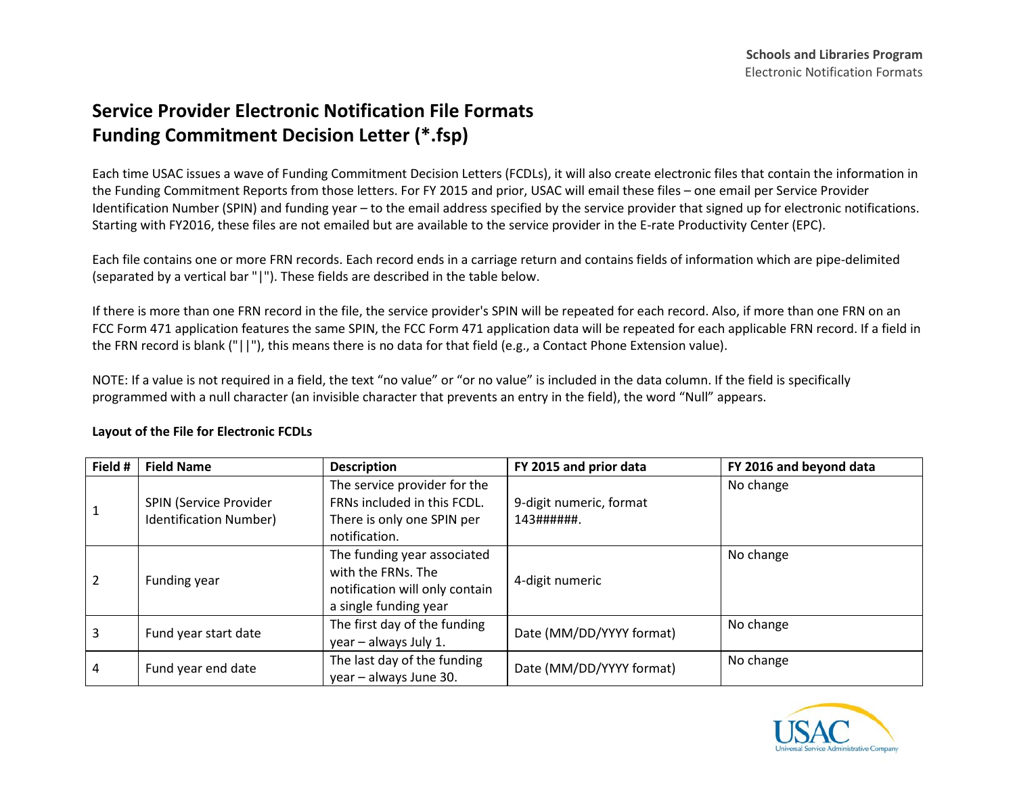## **Service Provider Electronic Notification File Formats Funding Commitment Decision Letter (\*.fsp)**

Each time USAC issues a wave of Funding Commitment Decision Letters (FCDLs), it will also create electronic files that contain the information in the Funding Commitment Reports from those letters. For FY 2015 and prior, USAC will email these files – one email per Service Provider Identification Number (SPIN) and funding year – to the email address specified by the service provider that signed up for electronic notifications. Starting with FY2016, these files are not emailed but are available to the service provider in the E-rate Productivity Center (EPC).

Each file contains one or more FRN records. Each record ends in a carriage return and contains fields of information which are pipe-delimited (separated by a vertical bar "|"). These fields are described in the table below.

If there is more than one FRN record in the file, the service provider's SPIN will be repeated for each record. Also, if more than one FRN on an FCC Form 471 application features the same SPIN, the FCC Form 471 application data will be repeated for each applicable FRN record. If a field in the FRN record is blank ("||"), this means there is no data for that field (e.g., a Contact Phone Extension value).

NOTE: If a value is not required in a field, the text "no value" or "or no value" is included in the data column. If the field is specifically programmed with a null character (an invisible character that prevents an entry in the field), the word "Null" appears.

| Field # | <b>Field Name</b>                                | <b>Description</b>                                                                                           | FY 2015 and prior data                 | FY 2016 and beyond data |
|---------|--------------------------------------------------|--------------------------------------------------------------------------------------------------------------|----------------------------------------|-------------------------|
|         | SPIN (Service Provider<br>Identification Number) | The service provider for the<br>FRNs included in this FCDL.<br>There is only one SPIN per<br>notification.   | 9-digit numeric, format<br>143#######. | No change               |
| 2       | Funding year                                     | The funding year associated<br>with the FRNs. The<br>notification will only contain<br>a single funding year | 4-digit numeric                        | No change               |
| 3       | Fund year start date                             | The first day of the funding<br>year - always July 1.                                                        | Date (MM/DD/YYYY format)               | No change               |
| 4       | Fund year end date                               | The last day of the funding<br>year - always June 30.                                                        | Date (MM/DD/YYYY format)               | No change               |

## **Layout of the File for Electronic FCDLs**

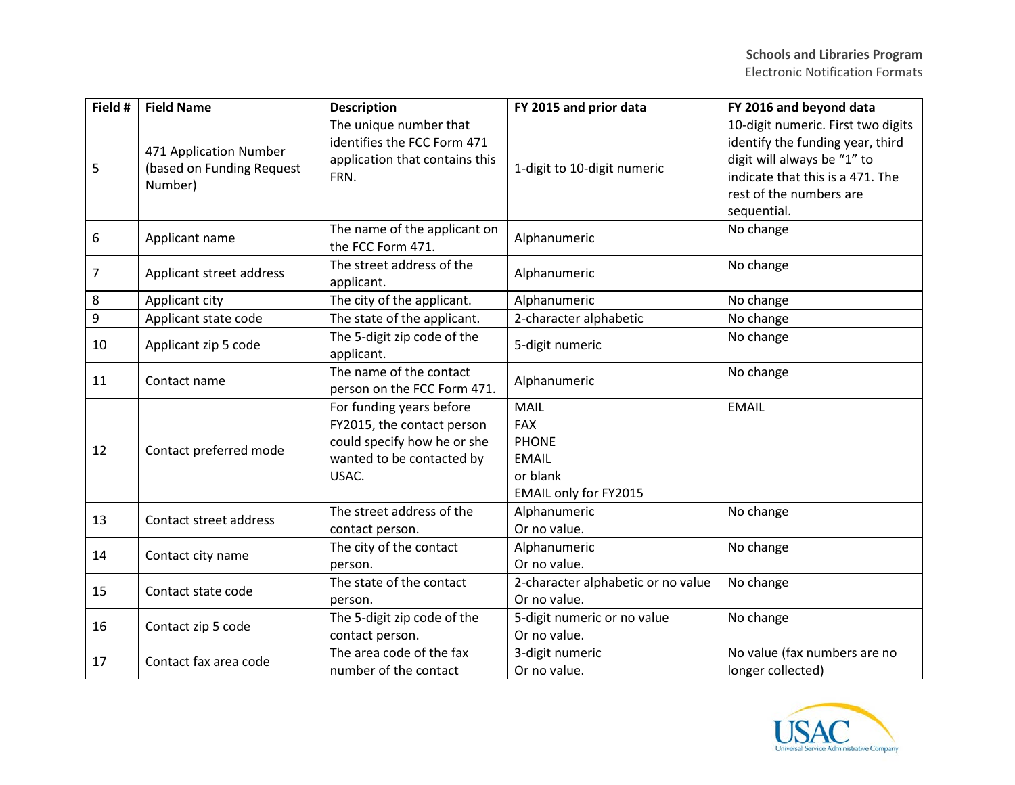| Field # | <b>Field Name</b>                                              | <b>Description</b>                                                                                                          | FY 2015 and prior data                                                                                | FY 2016 and beyond data                                                                                                                                                             |
|---------|----------------------------------------------------------------|-----------------------------------------------------------------------------------------------------------------------------|-------------------------------------------------------------------------------------------------------|-------------------------------------------------------------------------------------------------------------------------------------------------------------------------------------|
| 5       | 471 Application Number<br>(based on Funding Request<br>Number) | The unique number that<br>identifies the FCC Form 471<br>application that contains this<br>FRN.                             | 1-digit to 10-digit numeric                                                                           | 10-digit numeric. First two digits<br>identify the funding year, third<br>digit will always be "1" to<br>indicate that this is a 471. The<br>rest of the numbers are<br>sequential. |
| 6       | Applicant name                                                 | The name of the applicant on<br>the FCC Form 471.                                                                           | Alphanumeric                                                                                          | No change                                                                                                                                                                           |
| 7       | Applicant street address                                       | The street address of the<br>applicant.                                                                                     | Alphanumeric                                                                                          | No change                                                                                                                                                                           |
| 8       | Applicant city                                                 | The city of the applicant.                                                                                                  | Alphanumeric                                                                                          | No change                                                                                                                                                                           |
| 9       | Applicant state code                                           | The state of the applicant.                                                                                                 | 2-character alphabetic                                                                                | No change                                                                                                                                                                           |
| 10      | Applicant zip 5 code                                           | The 5-digit zip code of the<br>applicant.                                                                                   | 5-digit numeric                                                                                       | No change                                                                                                                                                                           |
| 11      | Contact name                                                   | The name of the contact<br>person on the FCC Form 471.                                                                      | Alphanumeric                                                                                          | No change                                                                                                                                                                           |
| 12      | Contact preferred mode                                         | For funding years before<br>FY2015, the contact person<br>could specify how he or she<br>wanted to be contacted by<br>USAC. | <b>MAIL</b><br><b>FAX</b><br><b>PHONE</b><br><b>EMAIL</b><br>or blank<br><b>EMAIL only for FY2015</b> | <b>EMAIL</b>                                                                                                                                                                        |
| 13      | Contact street address                                         | The street address of the<br>contact person.                                                                                | Alphanumeric<br>Or no value.                                                                          | No change                                                                                                                                                                           |
| 14      | Contact city name                                              | The city of the contact<br>person.                                                                                          | Alphanumeric<br>Or no value.                                                                          | No change                                                                                                                                                                           |
| 15      | Contact state code                                             | The state of the contact<br>person.                                                                                         | 2-character alphabetic or no value<br>Or no value.                                                    | No change                                                                                                                                                                           |
| 16      | Contact zip 5 code                                             | The 5-digit zip code of the<br>contact person.                                                                              | 5-digit numeric or no value<br>Or no value.                                                           | No change                                                                                                                                                                           |
| 17      | Contact fax area code                                          | The area code of the fax<br>number of the contact                                                                           | 3-digit numeric<br>Or no value.                                                                       | No value (fax numbers are no<br>longer collected)                                                                                                                                   |

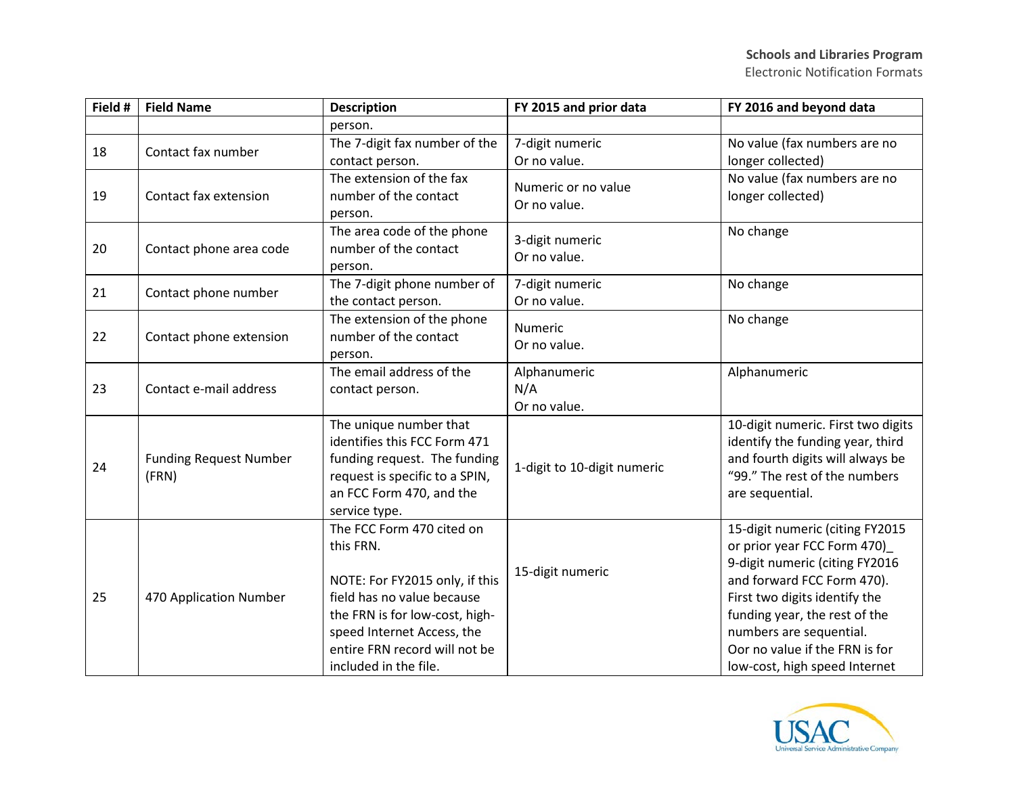| Field # | <b>Field Name</b>                      | <b>Description</b>                                           | FY 2015 and prior data      | FY 2016 and beyond data                                        |
|---------|----------------------------------------|--------------------------------------------------------------|-----------------------------|----------------------------------------------------------------|
|         |                                        | person.                                                      |                             |                                                                |
| 18      | Contact fax number                     | The 7-digit fax number of the                                | 7-digit numeric             | No value (fax numbers are no                                   |
|         |                                        | contact person.                                              | Or no value.                | longer collected)                                              |
|         |                                        | The extension of the fax                                     | Numeric or no value         | No value (fax numbers are no                                   |
| 19      | Contact fax extension                  | number of the contact                                        | Or no value.                | longer collected)                                              |
|         |                                        | person.                                                      |                             |                                                                |
|         |                                        | The area code of the phone                                   | 3-digit numeric             | No change                                                      |
| 20      | Contact phone area code                | number of the contact                                        | Or no value.                |                                                                |
|         |                                        | person.<br>The 7-digit phone number of                       | 7-digit numeric             | No change                                                      |
| 21      | Contact phone number                   | the contact person.                                          | Or no value.                |                                                                |
|         |                                        | The extension of the phone                                   |                             | No change                                                      |
| 22      | Contact phone extension                | number of the contact                                        | Numeric<br>Or no value.     |                                                                |
|         |                                        | person.                                                      |                             |                                                                |
|         |                                        | The email address of the                                     | Alphanumeric                | Alphanumeric                                                   |
| 23      | Contact e-mail address                 | contact person.                                              | N/A                         |                                                                |
|         |                                        |                                                              | Or no value.                |                                                                |
|         |                                        | The unique number that                                       |                             | 10-digit numeric. First two digits                             |
| 24      | <b>Funding Request Number</b><br>(FRN) | identifies this FCC Form 471                                 | 1-digit to 10-digit numeric | identify the funding year, third                               |
|         |                                        | funding request. The funding                                 |                             | and fourth digits will always be                               |
|         |                                        | request is specific to a SPIN,                               |                             | "99." The rest of the numbers                                  |
|         |                                        | an FCC Form 470, and the                                     |                             | are sequential.                                                |
|         |                                        | service type.                                                |                             |                                                                |
|         |                                        | The FCC Form 470 cited on                                    |                             | 15-digit numeric (citing FY2015                                |
|         |                                        | this FRN.                                                    |                             | or prior year FCC Form 470)                                    |
|         |                                        |                                                              | 15-digit numeric            | 9-digit numeric (citing FY2016                                 |
|         | 470 Application Number                 | NOTE: For FY2015 only, if this<br>field has no value because |                             | and forward FCC Form 470).                                     |
| 25      |                                        | the FRN is for low-cost, high-                               |                             | First two digits identify the<br>funding year, the rest of the |
|         |                                        | speed Internet Access, the                                   |                             | numbers are sequential.                                        |
|         |                                        | entire FRN record will not be                                |                             | Oor no value if the FRN is for                                 |
|         |                                        | included in the file.                                        |                             | low-cost, high speed Internet                                  |

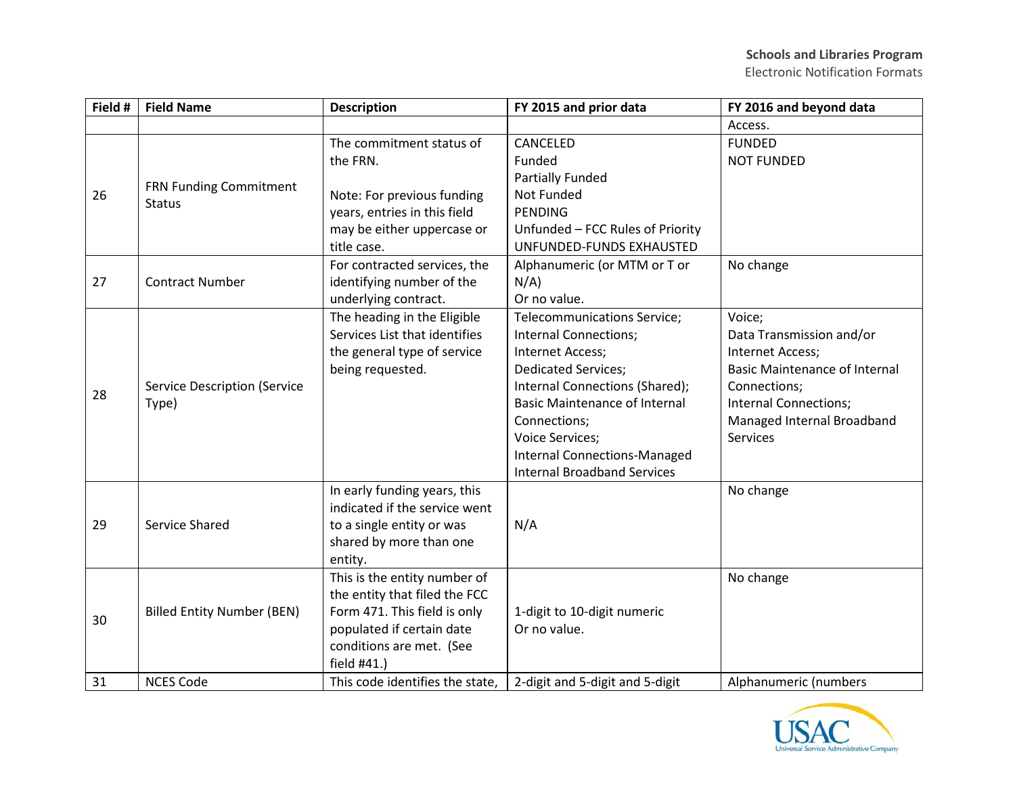| Field # | <b>Field Name</b>                            | <b>Description</b>              | FY 2015 and prior data               | FY 2016 and beyond data              |
|---------|----------------------------------------------|---------------------------------|--------------------------------------|--------------------------------------|
|         |                                              |                                 |                                      | Access.                              |
|         |                                              | The commitment status of        | CANCELED                             | <b>FUNDED</b>                        |
|         |                                              | the FRN.                        | Funded                               | <b>NOT FUNDED</b>                    |
|         |                                              |                                 | <b>Partially Funded</b>              |                                      |
| 26      | FRN Funding Commitment<br><b>Status</b>      | Note: For previous funding      | Not Funded                           |                                      |
|         |                                              | years, entries in this field    | <b>PENDING</b>                       |                                      |
|         |                                              | may be either uppercase or      | Unfunded - FCC Rules of Priority     |                                      |
|         |                                              | title case.                     | UNFUNDED-FUNDS EXHAUSTED             |                                      |
|         |                                              | For contracted services, the    | Alphanumeric (or MTM or T or         | No change                            |
| 27      | <b>Contract Number</b>                       | identifying number of the       | $N/A$ )                              |                                      |
|         |                                              | underlying contract.            | Or no value.                         |                                      |
|         |                                              | The heading in the Eligible     | Telecommunications Service;          | Voice;                               |
|         |                                              | Services List that identifies   | Internal Connections;                | Data Transmission and/or             |
|         | <b>Service Description (Service</b><br>Type) | the general type of service     | Internet Access;                     | Internet Access;                     |
|         |                                              | being requested.                | <b>Dedicated Services;</b>           | <b>Basic Maintenance of Internal</b> |
| 28      |                                              |                                 | Internal Connections (Shared);       | Connections;                         |
|         |                                              |                                 | <b>Basic Maintenance of Internal</b> | Internal Connections;                |
|         |                                              |                                 | Connections;                         | Managed Internal Broadband           |
|         |                                              |                                 | <b>Voice Services;</b>               | Services                             |
|         |                                              |                                 | <b>Internal Connections-Managed</b>  |                                      |
|         |                                              |                                 | <b>Internal Broadband Services</b>   |                                      |
|         |                                              | In early funding years, this    |                                      | No change                            |
|         | Service Shared                               | indicated if the service went   |                                      |                                      |
| 29      |                                              | to a single entity or was       | N/A                                  |                                      |
|         |                                              | shared by more than one         |                                      |                                      |
|         |                                              | entity.                         |                                      |                                      |
|         |                                              | This is the entity number of    |                                      | No change                            |
|         |                                              | the entity that filed the FCC   |                                      |                                      |
| 30      | <b>Billed Entity Number (BEN)</b>            | Form 471. This field is only    | 1-digit to 10-digit numeric          |                                      |
|         |                                              | populated if certain date       | Or no value.                         |                                      |
|         |                                              | conditions are met. (See        |                                      |                                      |
|         |                                              | field #41.)                     |                                      |                                      |
| 31      | <b>NCES Code</b>                             | This code identifies the state, | 2-digit and 5-digit and 5-digit      | Alphanumeric (numbers                |

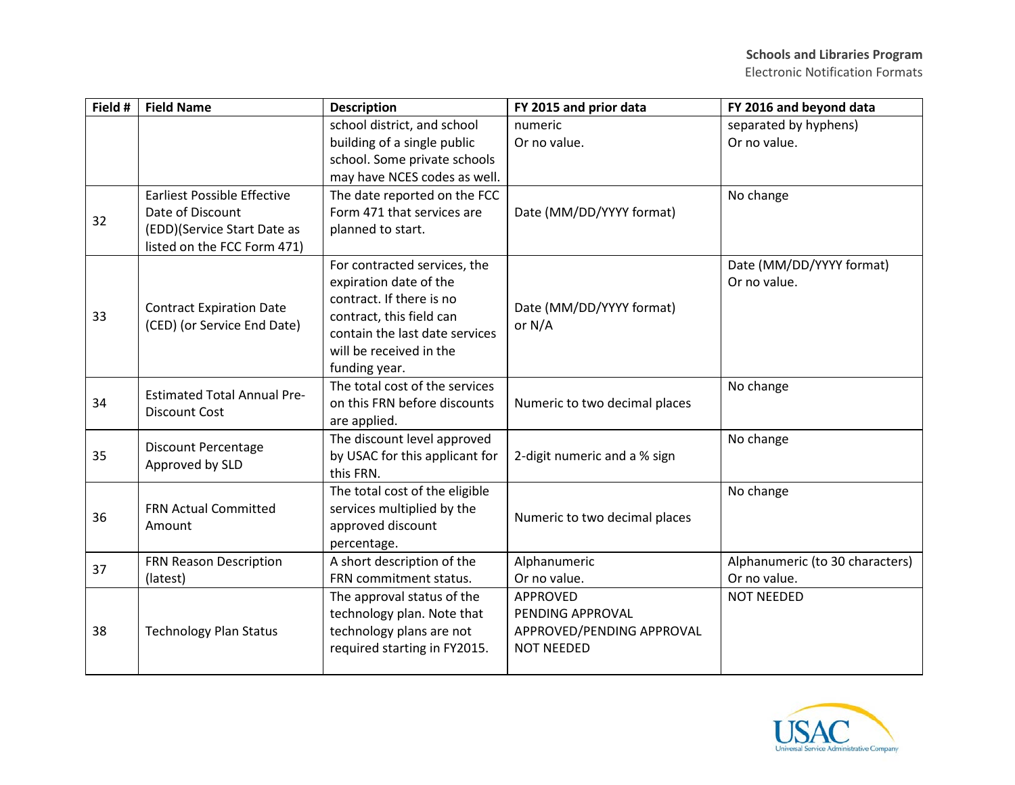| Field # | <b>Field Name</b>                                          | <b>Description</b>             | FY 2015 and prior data                                                                                                                                                                                                                                                                    | FY 2016 and beyond data         |
|---------|------------------------------------------------------------|--------------------------------|-------------------------------------------------------------------------------------------------------------------------------------------------------------------------------------------------------------------------------------------------------------------------------------------|---------------------------------|
|         |                                                            | school district, and school    | numeric                                                                                                                                                                                                                                                                                   | separated by hyphens)           |
|         |                                                            | building of a single public    | Or no value.                                                                                                                                                                                                                                                                              | Or no value.                    |
|         |                                                            | school. Some private schools   |                                                                                                                                                                                                                                                                                           |                                 |
|         |                                                            | may have NCES codes as well.   |                                                                                                                                                                                                                                                                                           |                                 |
|         | <b>Earliest Possible Effective</b>                         | The date reported on the FCC   |                                                                                                                                                                                                                                                                                           | No change                       |
| 32      | Date of Discount                                           | Form 471 that services are     |                                                                                                                                                                                                                                                                                           |                                 |
|         | (EDD)(Service Start Date as                                | planned to start.              |                                                                                                                                                                                                                                                                                           |                                 |
|         | listed on the FCC Form 471)                                |                                |                                                                                                                                                                                                                                                                                           |                                 |
|         |                                                            | For contracted services, the   |                                                                                                                                                                                                                                                                                           | Date (MM/DD/YYYY format)        |
|         |                                                            | expiration date of the         |                                                                                                                                                                                                                                                                                           | Or no value.                    |
|         | <b>Contract Expiration Date</b>                            | contract. If there is no       |                                                                                                                                                                                                                                                                                           |                                 |
| 33      | (CED) (or Service End Date)                                | contract, this field can       |                                                                                                                                                                                                                                                                                           |                                 |
|         |                                                            | contain the last date services |                                                                                                                                                                                                                                                                                           |                                 |
|         |                                                            | will be received in the        |                                                                                                                                                                                                                                                                                           |                                 |
|         |                                                            | funding year.                  |                                                                                                                                                                                                                                                                                           |                                 |
|         | <b>Estimated Total Annual Pre-</b><br><b>Discount Cost</b> | The total cost of the services |                                                                                                                                                                                                                                                                                           | No change                       |
| 34      |                                                            | on this FRN before discounts   |                                                                                                                                                                                                                                                                                           |                                 |
|         |                                                            | are applied.                   |                                                                                                                                                                                                                                                                                           |                                 |
|         | <b>Discount Percentage</b>                                 | The discount level approved    |                                                                                                                                                                                                                                                                                           | No change                       |
| 35      | Approved by SLD                                            | by USAC for this applicant for |                                                                                                                                                                                                                                                                                           |                                 |
|         |                                                            | this FRN.                      | Date (MM/DD/YYYY format)<br>Date (MM/DD/YYYY format)<br>or N/A<br>Numeric to two decimal places<br>2-digit numeric and a % sign<br>Numeric to two decimal places<br>Alphanumeric<br>Or no value.<br><b>APPROVED</b><br>PENDING APPROVAL<br>APPROVED/PENDING APPROVAL<br><b>NOT NEEDED</b> |                                 |
|         | <b>FRN Actual Committed</b><br>Amount                      | The total cost of the eligible |                                                                                                                                                                                                                                                                                           | No change                       |
| 36      |                                                            | services multiplied by the     |                                                                                                                                                                                                                                                                                           |                                 |
|         |                                                            | approved discount              |                                                                                                                                                                                                                                                                                           |                                 |
|         |                                                            | percentage.                    |                                                                                                                                                                                                                                                                                           |                                 |
| 37      | FRN Reason Description                                     | A short description of the     |                                                                                                                                                                                                                                                                                           | Alphanumeric (to 30 characters) |
|         | (latest)                                                   | FRN commitment status.         |                                                                                                                                                                                                                                                                                           | Or no value.                    |
|         |                                                            | The approval status of the     |                                                                                                                                                                                                                                                                                           | <b>NOT NEEDED</b>               |
|         |                                                            | technology plan. Note that     |                                                                                                                                                                                                                                                                                           |                                 |
| 38      | <b>Technology Plan Status</b>                              | technology plans are not       |                                                                                                                                                                                                                                                                                           |                                 |
|         |                                                            | required starting in FY2015.   |                                                                                                                                                                                                                                                                                           |                                 |
|         |                                                            |                                |                                                                                                                                                                                                                                                                                           |                                 |

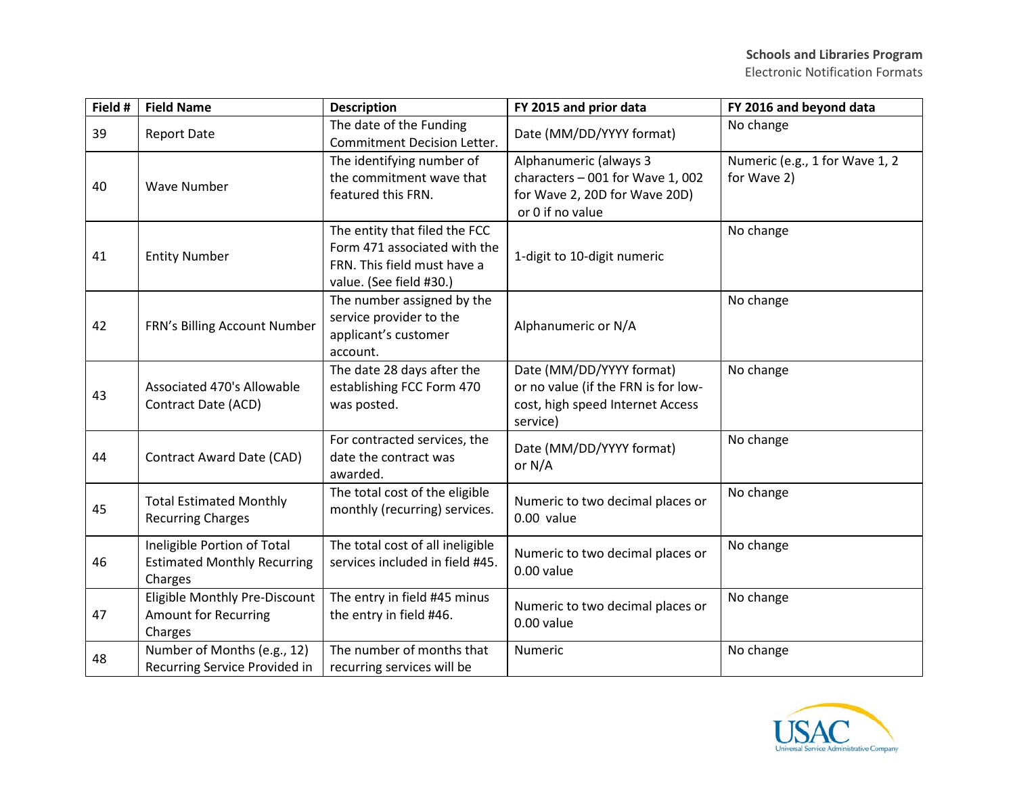| Field # | <b>Field Name</b>                                                            | <b>Description</b>                                                                                                      | FY 2015 and prior data                                                                                          | FY 2016 and beyond data                       |
|---------|------------------------------------------------------------------------------|-------------------------------------------------------------------------------------------------------------------------|-----------------------------------------------------------------------------------------------------------------|-----------------------------------------------|
| 39      | <b>Report Date</b>                                                           | The date of the Funding<br><b>Commitment Decision Letter.</b>                                                           | Date (MM/DD/YYYY format)                                                                                        | No change                                     |
| 40      | <b>Wave Number</b>                                                           | The identifying number of<br>the commitment wave that<br>featured this FRN.                                             | Alphanumeric (always 3<br>characters - 001 for Wave 1, 002<br>for Wave 2, 20D for Wave 20D)<br>or 0 if no value | Numeric (e.g., 1 for Wave 1, 2<br>for Wave 2) |
| 41      | <b>Entity Number</b>                                                         | The entity that filed the FCC<br>Form 471 associated with the<br>FRN. This field must have a<br>value. (See field #30.) | 1-digit to 10-digit numeric                                                                                     | No change                                     |
| 42      | FRN's Billing Account Number                                                 | The number assigned by the<br>service provider to the<br>applicant's customer<br>account.                               | Alphanumeric or N/A                                                                                             | No change                                     |
| 43      | Associated 470's Allowable<br>Contract Date (ACD)                            | The date 28 days after the<br>establishing FCC Form 470<br>was posted.                                                  | Date (MM/DD/YYYY format)<br>or no value (if the FRN is for low-<br>cost, high speed Internet Access<br>service) | No change                                     |
| 44      | Contract Award Date (CAD)                                                    | For contracted services, the<br>date the contract was<br>awarded.                                                       | Date (MM/DD/YYYY format)<br>or N/A                                                                              | No change                                     |
| 45      | <b>Total Estimated Monthly</b><br><b>Recurring Charges</b>                   | The total cost of the eligible<br>monthly (recurring) services.                                                         | Numeric to two decimal places or<br>0.00 value                                                                  | No change                                     |
| 46      | Ineligible Portion of Total<br><b>Estimated Monthly Recurring</b><br>Charges | The total cost of all ineligible<br>services included in field #45.                                                     | Numeric to two decimal places or<br>0.00 value                                                                  | No change                                     |
| 47      | Eligible Monthly Pre-Discount<br><b>Amount for Recurring</b><br>Charges      | The entry in field #45 minus<br>the entry in field #46.                                                                 | Numeric to two decimal places or<br>0.00 value                                                                  | No change                                     |
| 48      | Number of Months (e.g., 12)<br>Recurring Service Provided in                 | The number of months that<br>recurring services will be                                                                 | Numeric                                                                                                         | No change                                     |

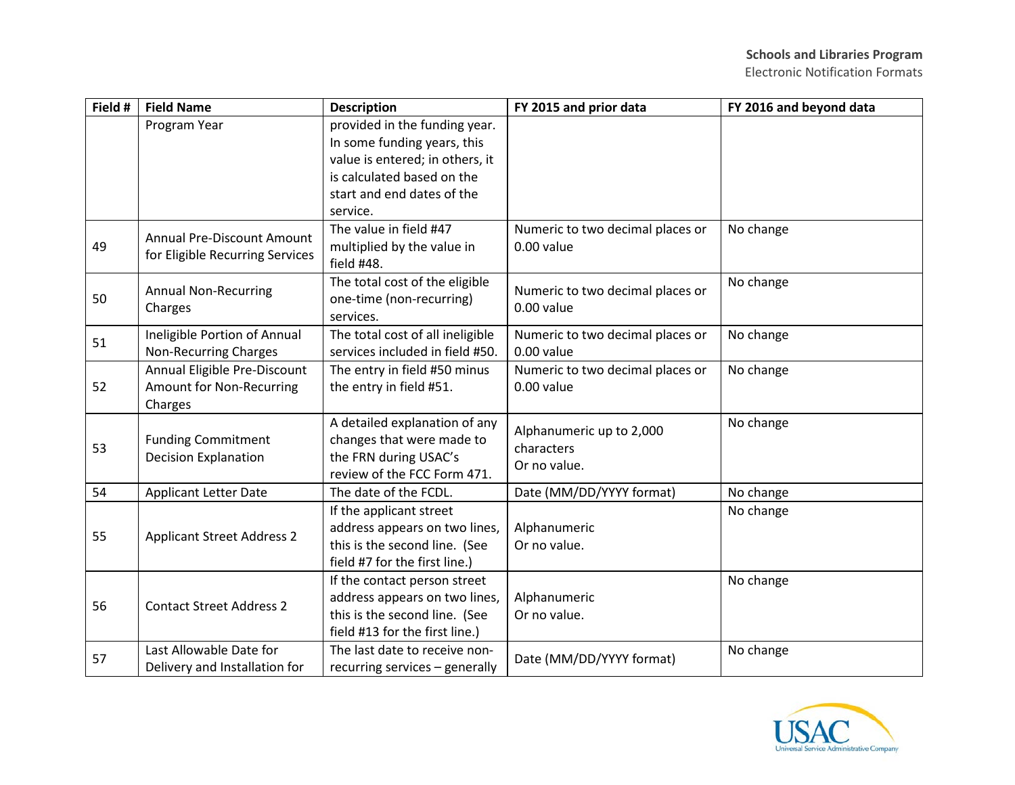Electronic Notification Formats

| Field # | <b>Field Name</b>                 | <b>Description</b>               | FY 2015 and prior data           | FY 2016 and beyond data |
|---------|-----------------------------------|----------------------------------|----------------------------------|-------------------------|
|         | Program Year                      | provided in the funding year.    |                                  |                         |
|         |                                   | In some funding years, this      |                                  |                         |
|         |                                   | value is entered; in others, it  |                                  |                         |
|         |                                   | is calculated based on the       |                                  |                         |
|         |                                   | start and end dates of the       |                                  |                         |
|         |                                   | service.                         |                                  |                         |
|         | <b>Annual Pre-Discount Amount</b> | The value in field #47           | Numeric to two decimal places or | No change               |
| 49      | for Eligible Recurring Services   | multiplied by the value in       | 0.00 value                       |                         |
|         |                                   | field #48.                       |                                  |                         |
|         | <b>Annual Non-Recurring</b>       | The total cost of the eligible   | Numeric to two decimal places or | No change               |
| 50      | Charges                           | one-time (non-recurring)         | 0.00 value                       |                         |
|         |                                   | services.                        |                                  |                         |
| 51      | Ineligible Portion of Annual      | The total cost of all ineligible | Numeric to two decimal places or | No change               |
|         | <b>Non-Recurring Charges</b>      | services included in field #50.  | 0.00 value                       |                         |
|         | Annual Eligible Pre-Discount      | The entry in field #50 minus     | Numeric to two decimal places or | No change               |
| 52      | Amount for Non-Recurring          | the entry in field #51.          | 0.00 value                       |                         |
|         | Charges                           |                                  |                                  |                         |
|         |                                   | A detailed explanation of any    | Alphanumeric up to 2,000         | No change               |
| 53      | <b>Funding Commitment</b>         | changes that were made to        | characters                       |                         |
|         | <b>Decision Explanation</b>       | the FRN during USAC's            | Or no value.                     |                         |
|         |                                   | review of the FCC Form 471.      |                                  |                         |
| 54      | <b>Applicant Letter Date</b>      | The date of the FCDL.            | Date (MM/DD/YYYY format)         | No change               |
|         |                                   | If the applicant street          |                                  | No change               |
| 55      | <b>Applicant Street Address 2</b> | address appears on two lines,    | Alphanumeric                     |                         |
|         |                                   | this is the second line. (See    | Or no value.                     |                         |
|         |                                   | field #7 for the first line.)    |                                  |                         |
|         |                                   | If the contact person street     |                                  | No change               |
| 56      | <b>Contact Street Address 2</b>   | address appears on two lines,    | Alphanumeric                     |                         |
|         |                                   | this is the second line. (See    | Or no value.                     |                         |
|         |                                   | field #13 for the first line.)   |                                  |                         |
| 57      | Last Allowable Date for           | The last date to receive non-    | Date (MM/DD/YYYY format)         | No change               |
|         | Delivery and Installation for     | recurring services - generally   |                                  |                         |